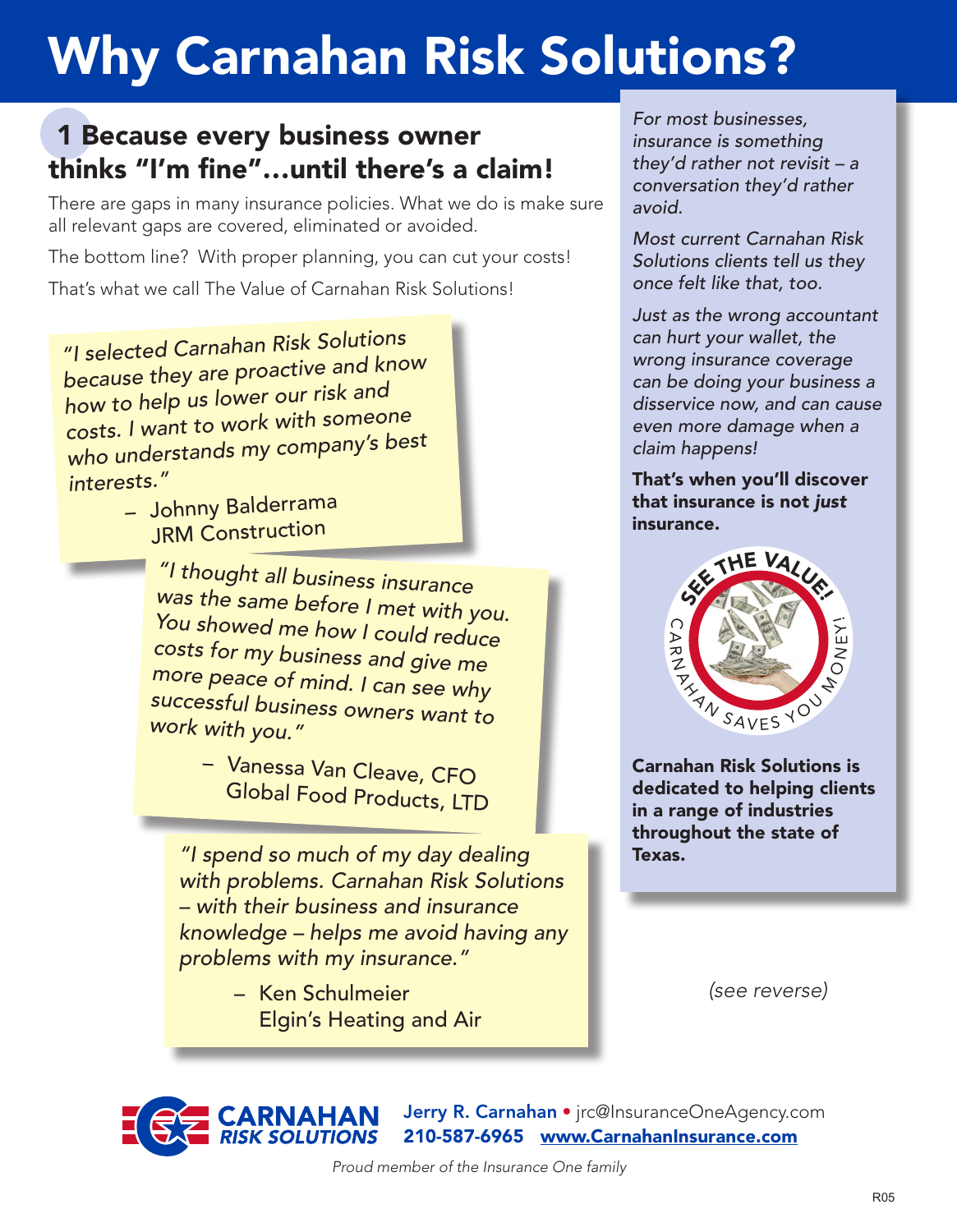## Why Carnahan Risk Solutions?

## 1 Because every business owner thinks "I'm fine"…until there's a claim!

There are gaps in many insurance policies. What we do is make sure all relevant gaps are covered, eliminated or avoided.

The bottom line? With proper planning, you can cut your costs!

That's what we call The Value of Carnahan Risk Solutions!

*"I selected Carnahan Risk Solutions because they are proactive and know how to help us lower our risk and costs. I want to work with someone who understands my company's best interests."*

– Johnny Balderrama JRM Construction

> *"I thought all business insurance was the same before I met with you. You showed me how I could reduce costs for my business and give me more peace of mind. I can see why successful business owners want to work with you."*

> > – Vanessa Van Cleave, CFO Global Food Products, LTD

*"I spend so much of my day dealing with problems. Carnahan Risk Solutions – with their business and insurance knowledge – helps me avoid having any problems with my insurance."*

> – Ken Schulmeier Elgin's Heating and Air

*For most businesses, insurance is something they'd rather not revisit – a conversation they'd rather avoid.* 

*Most current Carnahan Risk Solutions clients tell us they once felt like that, too.*

*Just as the wrong accountant can hurt your wallet, the wrong insurance coverage can be doing your business a disservice now, and can cause even more damage when a claim happens!* 

That's when you'll discover that insurance is not *just* insurance.



Carnahan Risk Solutions is dedicated to helping clients in a range of industries throughout the state of Texas.

*(see reverse)*